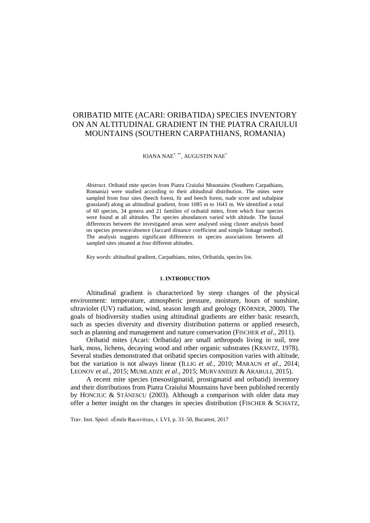# ORIBATID MITE (ACARI: ORIBATIDA) SPECIES INVENTORY ON AN ALTITUDINAL GRADIENT IN THE PIATRA CRAIULUI MOUNTAINS (SOUTHERN CARPATHIANS, ROMANIA)

IOANA NAE\*, \*\* , AUGUSTIN NAE\*

*Abstract.* Oribatid mite species from Piatra Craiului Mountains (Southern Carpathians, Romania) were studied according to their altitudinal distribution. The mites were sampled from four sites (beech forest, fir and beech forest, nude scree and subalpine grassland) along an altitudinal gradient, from 1085 m to 1643 m. We identified a total of 60 species, 34 genera and 21 families of oribatid mites, from which four species were found at all altitudes. The species abundances varied with altitude. The faunal differences between the investigated areas were analysed using cluster analysis based on species presence/absence (Jaccard distance coefficient and simple linkage method). The analysis suggests significant differences in species associations between all sampled sites situated at four different altitudes.

*Key words*: altitudinal gradient, Carpathians, mites, Oribatida, species list.

#### **1. INTRODUCTION**

Altitudinal gradient is characterized by steep changes of the physical environment: temperature, atmospheric pressure, moisture, hours of sunshine, ultraviolet (UV) radiation, wind, season length and geology (KÖRNER, 2000). The goals of biodiversity studies using altitudinal gradients are either basic research, such as species diversity and diversity distribution patterns or applied research, such as planning and management and nature conservation (FISCHER *et al*., 2011).

Oribatid mites (Acari: Oribatida) are small arthropods living in soil, tree bark, moss, lichens, decaying wood and other organic substrates (KRANTZ, 1978). Several studies demonstrated that oribatid species composition varies with altitude, but the variation is not always linear (ILLIG *et al.*, 2010; MARAUN *et al*., 2014; LEONOV *et al*., 2015; MUMLADZE *et al*., 2015; MURVANIDZE & ARABULI, 2015).

A recent mite species (mesostigmatid, prostigmatid and oribatid) inventory and their distributions from Piatra Craiului Mountains have been published recently by HONCIUC & STĂNESCU (2003). Although a comparison with older data may offer a better insight on the changes in species distribution (FISCHER & SCHATZ,

Trav. Inst. Spéol. «Émile Racovitza», t. LVI, p. 33–50, Bucarest, 2017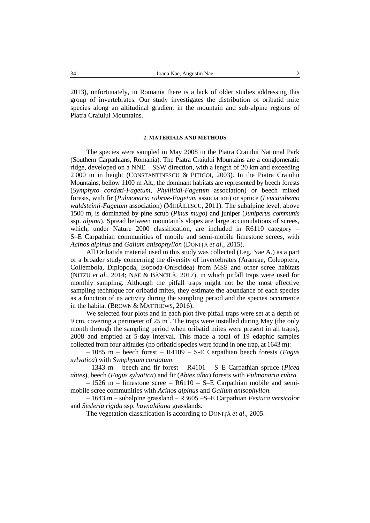2013), unfortunately, in Romania there is a lack of older studies addressing this group of invertebrates. Our study investigates the distribution of oribatid mite species along an altitudinal gradient in the mountain and sub-alpine regions of Piatra Craiului Mountains.

#### **2. MATERIALS AND METHODS**

The species were sampled in May 2008 in the Piatra Craiului National Park (Southern Carpathians, Romania). The Piatra Craiului Mountains are a conglomeratic ridge, developed on a NNE – SSW direction, with a length of 20 km and exceeding 2 000 m in height (CONSTANTINESCU & PIȚIGOI, 2003). In the Piatra Craiului Mountains, bellow 1100 m Alt., the dominant habitats are represented by beech forests (*Symphyto cordati-Fagetum*, *Phyllitidi-Fagetum* association) or beech mixed forests, with fir (*Pulmonario rubrae-Fagetum* association) or spruce (*Leucanthemo waldsteinii-Fagetum* association) (MIHĂILESCU, 2011). The subalpine level, above 1500 m, is dominated by pine scrub (*Pinus mugo*) and juniper (*Juniperus communis*  ssp. *alpina*). Spread between mountain`s slopes are large accumulations of screes, which, under Nature 2000 classification, are included in R6110 category – S–E Carpathian communities of mobile and semi-mobile limestone screes, with *Acinos alpinus* and *Galium anisophyllon* (DONIȚĂ *et al*., 2015).

All Oribatida material used in this study was collected (Leg. Nae A.) as a part of a broader study concerning the diversity of invertebrates (Araneae, Coleoptera, Collembola, Diplopoda, Isopoda-Oniscidea) from MSS and other scree habitats (NITZU *et al*., 2014; NAE & BĂNCILĂ, 2017), in which pitfall traps were used for monthly sampling. Although the pitfall traps might not be the most effective sampling technique for oribatid mites, they estimate the abundance of each species as a function of its activity during the sampling period and the species occurrence in the habitat (BROWN & MATTHEWS, 2016).

We selected four plots and in each plot five pitfall traps were set at a depth of 9 cm, covering a perimeter of 25  $m^2$ . The traps were installed during May (the only month through the sampling period when oribatid mites were present in all traps), 2008 and emptied at 5-day interval. This made a total of 19 edaphic samples collected from four altitudes (no oribatid species were found in one trap, at 1643 m):

– 1085 m – beech forest – R4109 – S-E Carpathian beech forests (*Fagus sylvatica*) with *Symphytum cordatum*.

– 1343 m – beech and fir forest – R4101 – S–E Carpathian spruce (*Picea abies*), beech (*Fagus sylvatica*) and fir (*Abies alba*) forests with *Pulmonaria rubra.*

 $-1526$  m – limestone scree – R6110 – S–E Carpathian mobile and semimobile scree communities with *Acinos alpinus* and *Galium anisophyllon*.

– 1643 m – subalpine grassland – R3605 –S–E Carpathian *Festuca versicolor* and *Sesleria rigida* ssp. *haynaldiana* grasslands.

The vegetation classification is according to DONIȚĂ *et al*., 2005.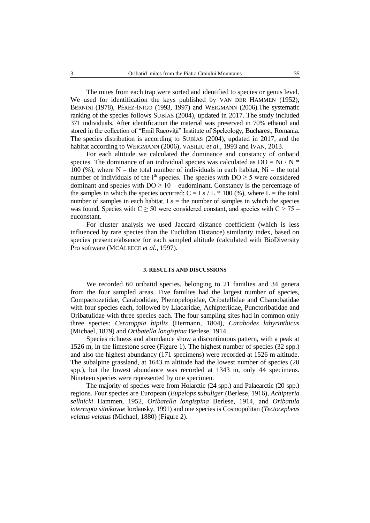The mites from each trap were sorted and identified to species or genus level. We used for identification the keys published by VAN DER HAMMEN (1952), BERNINI (1978), PÉREZ-INIGO (1993, 1997) and WEIGMANN (2006). The systematic ranking of the species follows SUBÍAS (2004), updated in 2017. The study included 371 individuals. After identification the material was preserved in 70% ethanol and stored in the collection of "Emil Racoviță" Institute of Speleology, Bucharest, Romania. The species distribution is according to SUBÍAS (2004), updated in 2017, and the habitat according to WEIGMANN (2006), VASILIU *et al.*, 1993 and IVAN, 2013.

For each altitude we calculated the dominance and constancy of oribatid species. The dominance of an individual species was calculated as  $DO = Ni / N^*$ 100 (%), where  $N =$  the total number of individuals in each habitat,  $Ni =$  the total number of individuals of the i<sup>th</sup> species. The species with  $DO \ge 5$  were considered dominant and species with  $DO \geq 10$  – eudominant. Constancy is the percentage of the samples in which the species occurred:  $C = Ls / L * 100$  (%), where  $L =$  the total number of samples in each habitat,  $Ls =$  the number of samples in which the species was found. Species with  $C \ge 50$  were considered constant, and species with  $C \ge 75$  – euconstant.

For cluster analysis we used Jaccard distance coefficient (which is less influenced by rare species than the Euclidian Distance) similarity index, based on species presence/absence for each sampled altitude (calculated with BioDiversity Pro software (MCALEECE *et al.*, 1997).

#### **3. RESULTS AND DISCUSSIONS**

We recorded 60 oribatid species, belonging to 21 families and 34 genera from the four sampled areas. Five families had the largest number of species, Compactozetidae, Carabodidae, Phenopelopidae, Oribatellidae and Chamobatidae with four species each, followed by Liacaridae, Achipteriidae, Punctoribatidae and Oribatulidae with three species each. The four sampling sites had in common only three species: *Ceratoppia bipilis* (Hermann, 1804), *Carabodes labyrinthicus*  (Michael, 1879) and *Oribatella longispina* Berlese, 1914.

Species richness and abundance show a discontinuous pattern, with a peak at 1526 m, in the limestone scree (Figure 1). The highest number of species (32 spp.) and also the highest abundancy (171 specimens) were recorded at 1526 m altitude. The subalpine grassland, at 1643 m altitude had the lowest number of species (20 spp.), but the lowest abundance was recorded at 1343 m, only 44 specimens. Nineteen species were represented by one specimen.

The majority of species were from Holarctic (24 spp.) and Palaearctic (20 spp.) regions. Four species are European (*Eupelops subuliger* (Berlese, 1916), *Achipteria sellnicki* Hammen, 1952, *Oribatella longispina* Berlese, 1914, and *Oribatula interrupta sitnikovae* Iordansky, 1991) and one species is Cosmopolitan (*Tectocepheus velatus velatus* (Michael, 1880) (Figure 2).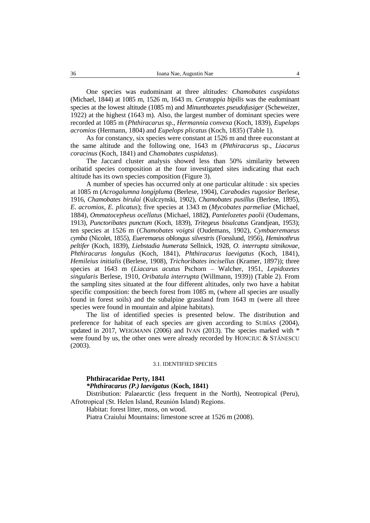One species was eudominant at three altitudes: *Chamobates cuspidatus* (Michael, 1844) at 1085 m, 1526 m, 1643 m. *Ceratoppia bipilis* was the eudominant species at the lowest altitude (1085 m) and *Minunthozetes pseudofusiger* (Scheweizer, 1922) at the highest (1643 m). Also, the largest number of dominant species were recorded at 1085 m (*Phthiracarus* sp., *Hermannia convexa* (Koch, 1839), *Eupelops acromios* (Hermann, 1804) and *Eupelops plicatus* (Koch, 1835) (Table 1).

As for constancy, six species were constant at 1526 m and three euconstant at the same altitude and the following one, 1643 m (*Phthiracarus* sp., *Liacarus coracinus* (Koch, 1841) and *Chamobates cuspidatus*).

The Jaccard cluster analysis showed less than 50% similarity between oribatid species composition at the four investigated sites indicating that each altitude has its own species composition (Figure 3).

A number of species has occurred only at one particular altitude : six species at 1085 m (*Acrogalumna longipluma* (Berlese, 1904), *Carabodes rugosior* Berlese, 1916, *Chamobates birulai* (Kulczynski, 1902), *Chamobates pusillus* (Berlese, 1895), *E. acromios*, *E. plicatus*); five species at 1343 m (*Mycobates parmeliae* (Michael, 1884), *Ommatocepheus ocellatus* (Michael, 1882**)**, *Pantelozetes paolii* (Oudemans, 1913), *Punctoribates punctum* (Koch, 1839), *Tritegeus bisulcatus* Grandjean, 1953); ten species at 1526 m (*Chamobates voigtsi* (Oudemans, 1902), *Cymbaeremaeus cymba* (Nicolet, 1855), *Eueremaeus oblongus silvestris* (Forsslund, 1956), *Heminothrus peltifer* (Koch, 1839), *Liebstadia humerata* Sellnick, 1928, *O. interrupta sitnikovae*, *Phthiracarus longulus* (Koch, 1841), *Phthiracarus laevigatus* (Koch, 1841), *Hemileius initialis* (Berlese, 1908), *Trichoribates incisellus* (Kramer, 1897)); three species at 1643 m (*Liacarus acutus* Pschorn – Walcher, 1951, *Lepidozetes singularis* Berlese, 1910, *Oribatula interrupta* (Willmann, 1939)) (Table 2). From the sampling sites situated at the four different altitudes, only two have a habitat specific composition: the beech forest from 1085 m, (where all species are usually found in forest soils) and the subalpine grassland from 1643 m (were all three species were found in mountain and alpine habitats).

The list of identified species is presented below. The distribution and preference for habitat of each species are given according to SUBÍAS (2004), updated in 2017, WEIGMANN (2006) and IVAN (2013). The species marked with \* were found by us, the other ones were already recorded by HONCIUC & STÅNESCU (2003).

#### 3.1. IDENTIFIED SPECIES

#### **Phthiracaridae Perty, 1841**

*\*Phthiracarus (P.) laevigatus* (**Koch, 1841)**

Distribution: Palaearctic (less frequent in the North), Neotropical (Peru), Afrotropical (St. Helen Island, Reunión Island) Regions.

Habitat: forest litter, moss, on wood.

Piatra Craiului Mountains: limestone scree at 1526 m (2008).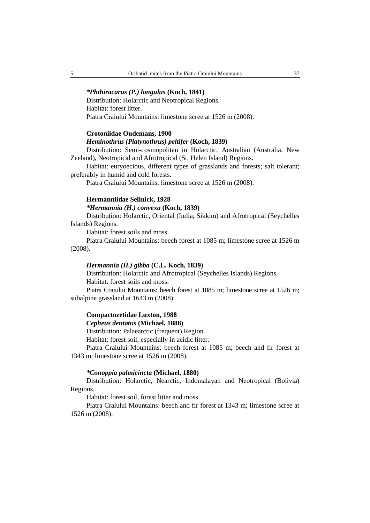#### *\*Phthiracarus (P.) longulus* **(Koch, 1841)**

Distribution: Holarctic and Neotropical Regions. Habitat: forest litter. Piatra Craiului Mountains: limestone scree at 1526 m (2008).

## **Crotoniidae Oudemans, 1900**

## *Heminothrus (Platynothrus) peltifer* **(Koch, 1839)**

Distribution: Semi-cosmopolitan in Holarctic, Australian (Australia, New Zeeland), Neotropical and Afrotropical (St. Helen Island) Regions.

Habitat: euryoecious, different types of grasslands and forests; salt tolerant; preferably in humid and cold forests.

Piatra Craiului Mountains: limestone scree at 1526 m (2008).

### **Hermanniidae Sellnick, 1928**

### *\*Hermannia (H.) convexa* **(Koch, 1839)**

Distribution: Holarctic, Oriental (India, Sikkim) and Afrotropical (Seychelles Islands) Regions.

Habitat: forest soils and moss.

Piatra Craiului Mountains: beech forest at 1085 m; limestone scree at 1526 m (2008).

#### *Hermannia (H.) gibba* **(C.L. Koch, 1839)**

Distribution: Holarctic and Afrotropical (Seychelles Islands) Regions. Habitat: forest soils and moss.

Piatra Craiului Mountains: beech forest at 1085 m; limestone scree at 1526 m; subalpine grassland at 1643 m (2008).

# **Compactozetidae Luxton, 1988**

# *Cepheus dentatus* **(Michael, 1888)**

Distribution: Palaearctic (frequent) Region.

Habitat: forest soil, especially in acidic litter.

Piatra Craiului Mountains: beech forest at 1085 m; beech and fir forest at 1343 m; limestone scree at 1526 m (2008).

#### *\*Conoppia palmicincta* **(Michael, 1880)**

Distribution: Holarctic, Nearctic, Indomalayan and Neotropical (Bolivia) Regions.

Habitat: forest soil, forest litter and moss.

Piatra Craiului Mountains: beech and fir forest at 1343 m; limestone scree at 1526 m (2008).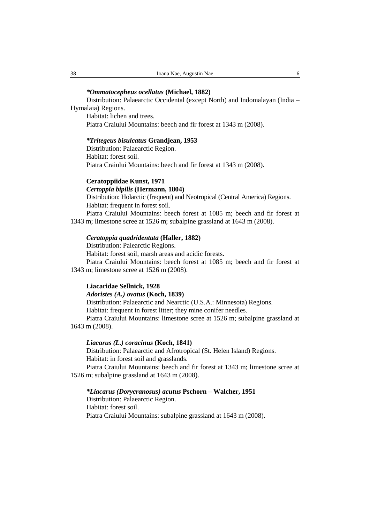# *\*Ommatocepheus ocellatus* **(Michael, 1882)**

Distribution: Palaearctic Occidental (except North) and Indomalayan (India – Hymalaia) Regions.

Habitat: lichen and trees. Piatra Craiului Mountains: beech and fir forest at 1343 m (2008).

### *\*Tritegeus bisulcatus* **Grandjean, 1953**

Distribution: Palaearctic Region. Habitat: forest soil. Piatra Craiului Mountains: beech and fir forest at 1343 m (2008).

#### **Ceratoppiidae Kunst, 1971**

# *Certoppia bipilis* **(Hermann, 1804)**

Distribution: Holarctic (frequent) and Neotropical (Central America) Regions. Habitat: frequent in forest soil.

Piatra Craiului Mountains: beech forest at 1085 m; beech and fir forest at 1343 m; limestone scree at 1526 m; subalpine grassland at 1643 m (2008).

#### *Ceratoppia quadridentata* **(Haller, 1882)**

Distribution: Palearctic Regions.

Habitat: forest soil, marsh areas and acidic forests.

Piatra Craiului Mountains: beech forest at 1085 m; beech and fir forest at 1343 m; limestone scree at 1526 m (2008).

### **Liacaridae Sellnick, 1928**

*Adoristes (A.) ovatus* **(Koch, 1839)**

Distribution: Palaearctic and Nearctic (U.S.A.: Minnesota) Regions. Habitat: frequent in forest litter; they mine conifer needles.

Piatra Craiului Mountains: limestone scree at 1526 m; subalpine grassland at 1643 m (2008).

### *Liacarus (L.) coracinus* **(Koch, 1841)**

Distribution: Palaearctic and Afrotropical (St. Helen Island) Regions. Habitat: in forest soil and grasslands.

Piatra Craiului Mountains: beech and fir forest at 1343 m; limestone scree at 1526 m; subalpine grassland at 1643 m (2008).

# *\*Liacarus (Dorycranosus) acutus* **Pschorn – Walcher, 1951**

Distribution: Palaearctic Region. Habitat: forest soil. Piatra Craiului Mountains: subalpine grassland at 1643 m (2008).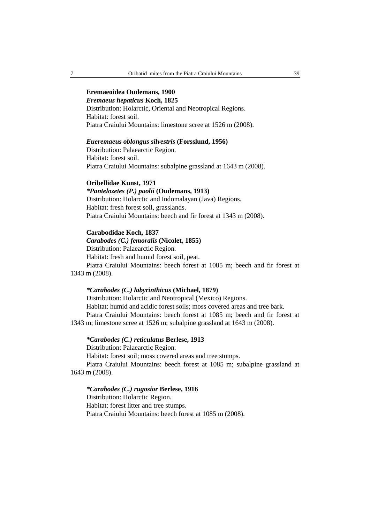# **Eremaeoidea Oudemans, 1900**

# *Eremaeus hepaticus* **Koch, 1825**

Distribution: Holarctic, Oriental and Neotropical Regions. Habitat: forest soil. Piatra Craiului Mountains: limestone scree at 1526 m (2008).

# *Eueremaeus oblongus silvestris* **(Forsslund, 1956)**

Distribution: Palaearctic Region. Habitat: forest soil. Piatra Craiului Mountains: subalpine grassland at 1643 m (2008).

#### **Oribellidae Kunst, 1971**

# *\*Pantelozetes (P.) paolii* **(Oudemans, 1913)**

Distribution: Holarctic and Indomalayan (Java) Regions. Habitat: fresh forest soil, grasslands. Piatra Craiului Mountains: beech and fir forest at 1343 m (2008).

## **Carabodidae Koch, 1837**

# *Carabodes (C.) femoralis* **(Nicolet, 1855)**

Distribution: Palaearctic Region.

Habitat: fresh and humid forest soil, peat.

Piatra Craiului Mountains: beech forest at 1085 m; beech and fir forest at 1343 m (2008).

### *\*Carabodes (C.) labyrinthicus* **(Michael, 1879)**

Distribution: Holarctic and Neotropical (Mexico) Regions. Habitat: humid and acidic forest soils; moss covered areas and tree bark. Piatra Craiului Mountains: beech forest at 1085 m; beech and fir forest at 1343 m; limestone scree at 1526 m; subalpine grassland at 1643 m (2008).

#### *\*Carabodes (C.) reticulatus* **Berlese, 1913**

Distribution: Palaearctic Region.

Habitat: forest soil; moss covered areas and tree stumps.

Piatra Craiului Mountains: beech forest at 1085 m; subalpine grassland at 1643 m (2008).

#### *\*Carabodes (C.) rugosior* **Berlese, 1916**

Distribution: Holarctic Region. Habitat: forest litter and tree stumps. Piatra Craiului Mountains: beech forest at 1085 m (2008).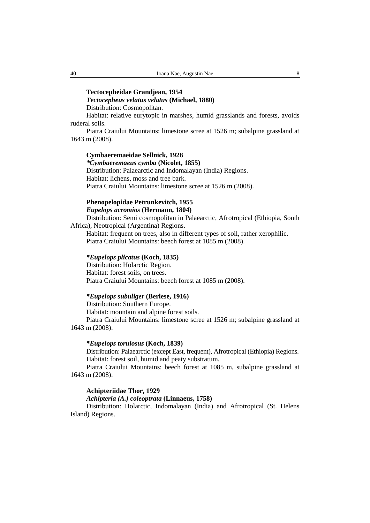# **Tectocepheidae Grandjean, 1954**

# *Tectocepheus velatus velatus* **(Michael, 1880)**

Distribution: Cosmopolitan.

Habitat: relative eurytopic in marshes, humid grasslands and forests, avoids ruderal soils.

Piatra Craiului Mountains: limestone scree at 1526 m; subalpine grassland at 1643 m (2008).

# **Cymbaeremaeidae Sellnick, 1928** *\*Cymbaeremaeus cymba* **(Nicolet, 1855)** Distribution: Palaearctic and Indomalayan (India) Regions. Habitat: lichens, moss and tree bark. Piatra Craiului Mountains: limestone scree at 1526 m (2008).

# **Phenopelopidae Petrunkevitch, 1955** *Eupelops acromios* **(Hermann, 1804)**

Distribution: Semi cosmopolitan in Palaearctic, Afrotropical (Ethiopia, South Africa), Neotropical (Argentina) Regions.

Habitat: frequent on trees, also in different types of soil, rather xerophilic. Piatra Craiului Mountains: beech forest at 1085 m (2008).

### *\*Eupelops plicatus* **(Koch, 1835)**

Distribution: Holarctic Region. Habitat: forest soils, on trees. Piatra Craiului Mountains: beech forest at 1085 m (2008).

# *\*Eupelops subuliger* **(Berlese, 1916)**

Distribution: Southern Europe.

Habitat: mountain and alpine forest soils.

Piatra Craiului Mountains: limestone scree at 1526 m; subalpine grassland at 1643 m (2008).

# *\*Eupelops torulosus* **(Koch, 1839)**

Distribution: Palaearctic (except East, frequent), Afrotropical (Ethiopia) Regions. Habitat: forest soil, humid and peaty substratum.

Piatra Craiului Mountains: beech forest at 1085 m, subalpine grassland at 1643 m (2008).

## **Achipteriidae Thor, 1929**

# *Achipteria (A.) coleoptrata* **(Linnaeus, 1758)**

Distribution: Holarctic, Indomalayan (India) and Afrotropical (St. Helens Island) Regions.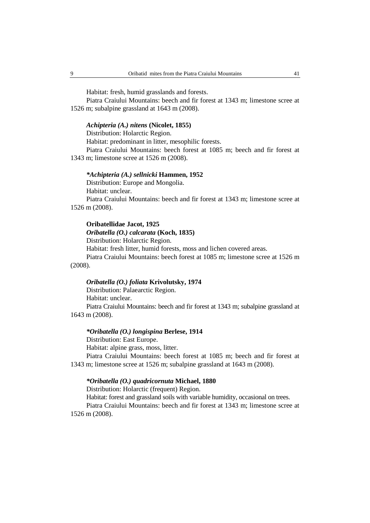Habitat: fresh, humid grasslands and forests.

Piatra Craiului Mountains: beech and fir forest at 1343 m; limestone scree at 1526 m; subalpine grassland at 1643 m (2008).

#### *Achipteria (A.) nitens* **(Nicolet, 1855)**

Distribution: Holarctic Region.

Habitat: predominant in litter, mesophilic forests.

Piatra Craiului Mountains: beech forest at 1085 m; beech and fir forest at 1343 m; limestone scree at 1526 m (2008).

# *\*Achipteria (A.) sellnicki* **Hammen, 1952**

Distribution: Europe and Mongolia. Habitat: unclear.

Piatra Craiului Mountains: beech and fir forest at 1343 m; limestone scree at 1526 m (2008).

#### **Oribatellidae Jacot, 1925**

### *Oribatella (O.) calcarata* **(Koch, 1835)**

Distribution: Holarctic Region.

Habitat: fresh litter, humid forests, moss and lichen covered areas.

Piatra Craiului Mountains: beech forest at 1085 m; limestone scree at 1526 m (2008).

### *Oribatella (O.) foliata* **Krivolutsky, 1974**

Distribution: Palaearctic Region. Habitat: unclear. Piatra Craiului Mountains: beech and fir forest at 1343 m; subalpine grassland at

1643 m (2008).

## *\*Oribatella (O.) longispina* **Berlese, 1914**

Distribution: East Europe.

Habitat: alpine grass, moss, litter.

Piatra Craiului Mountains: beech forest at 1085 m; beech and fir forest at 1343 m; limestone scree at 1526 m; subalpine grassland at 1643 m (2008).

# *\*Oribatella (O.) quadricornuta* **Michael, 1880**

Distribution: Holarctic (frequent) Region.

Habitat: forest and grassland soils with variable humidity, occasional on trees.

Piatra Craiului Mountains: beech and fir forest at 1343 m; limestone scree at 1526 m (2008).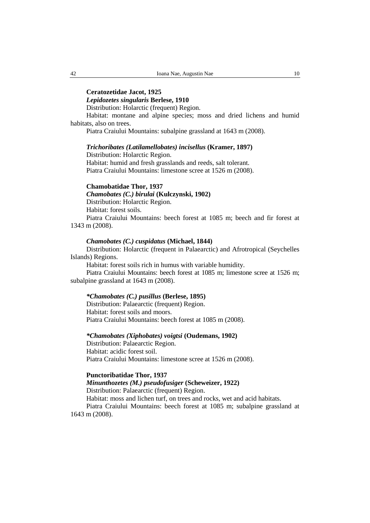# **Ceratozetidae Jacot, 1925**

# *Lepidozetes singularis* **Berlese, 1910**

Distribution: Holarctic (frequent) Region.

Habitat: montane and alpine species; moss and dried lichens and humid habitats, also on trees.

Piatra Craiului Mountains: subalpine grassland at 1643 m (2008).

## *Trichoribates (Latilamellobates) incisellus* **(Kramer, 1897)**

Distribution: Holarctic Region. Habitat: humid and fresh grasslands and reeds, salt tolerant. Piatra Craiului Mountains: limestone scree at 1526 m (2008).

### **Chamobatidae Thor, 1937**

*Chamobates (C.) birulai* **(Kulczynski, 1902)**  Distribution: Holarctic Region. Habitat: forest soils. Piatra Craiului Mountains: beech forest at 1085 m; beech and fir forest at 1343 m (2008).

## *Chamobates (C.) cuspidatus* **(Michael, 1844)**

Distribution: Holarctic (frequent in Palaearctic) and Afrotropical (Seychelles Islands) Regions.

Habitat: forest soils rich in humus with variable humidity.

Piatra Craiului Mountains: beech forest at 1085 m; limestone scree at 1526 m; subalpine grassland at 1643 m (2008).

## *\*Chamobates (C.) pusillus* **(Berlese, 1895)**

Distribution: Palaearctic (frequent) Region. Habitat: forest soils and moors. Piatra Craiului Mountains: beech forest at 1085 m (2008).

## *\*Chamobates (Xiphobates) voigtsi* **(Oudemans, 1902)**

Distribution: Palaearctic Region. Habitat: acidic forest soil. Piatra Craiului Mountains: limestone scree at 1526 m (2008).

#### **Punctoribatidae Thor, 1937**

*Minunthozetes (M.) pseudofusiger* **(Scheweizer, 1922)** 

Distribution: Palaearctic (frequent) Region.

Habitat: moss and lichen turf, on trees and rocks, wet and acid habitats.

Piatra Craiului Mountains: beech forest at 1085 m; subalpine grassland at 1643 m (2008).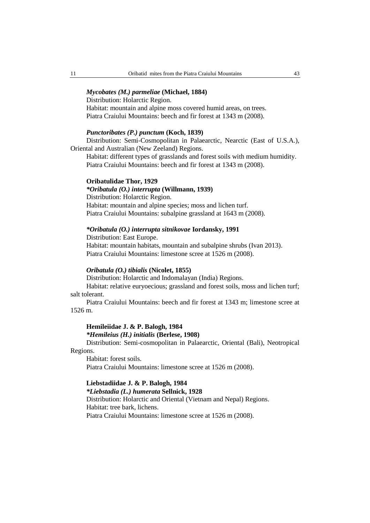## *Mycobates (M.) parmeliae* **(Michael, 1884)**

Distribution: Holarctic Region. Habitat: mountain and alpine moss covered humid areas, on trees. Piatra Craiului Mountains: beech and fir forest at 1343 m (2008).

# *Punctoribates (P.) punctum* **(Koch, 1839)**

Distribution: Semi-Cosmopolitan in Palaearctic, Nearctic (East of U.S.A.), Oriental and Australian (New Zeeland) Regions.

Habitat: different types of grasslands and forest soils with medium humidity. Piatra Craiului Mountains: beech and fir forest at 1343 m (2008).

#### **Oribatulidae Thor, 1929**

## *\*Oribatula (O.) interrupta* **(Willmann, 1939)**

Distribution: Holarctic Region.

Habitat: mountain and alpine species; moss and lichen turf. Piatra Craiului Mountains: subalpine grassland at 1643 m (2008).

# *\*Oribatula (O.) interrupta sitnikovae* **Iordansky, 1991**

Distribution: East Europe. Habitat: mountain habitats, mountain and subalpine shrubs (Ivan 2013). Piatra Craiului Mountains: limestone scree at 1526 m (2008).

## *Oribatula (O.) tibialis* **(Nicolet, 1855)**

Distribution: Holarctic and Indomalayan (India) Regions.

Habitat: relative euryoecious; grassland and forest soils, moss and lichen turf; salt tolerant.

Piatra Craiului Mountains: beech and fir forest at 1343 m; limestone scree at 1526 m.

# **Hemileiidae J. & P. Balogh, 1984**

*\*Hemileius (H.) initialis* **(Berlese, 1908)**

Distribution: Semi-cosmopolitan in Palaearctic, Oriental (Bali), Neotropical Regions.

Habitat: forest soils. Piatra Craiului Mountains: limestone scree at 1526 m (2008).

**Liebstadiidae J. & P. Balogh, 1984** *\*Liebstadia (L.) humerata* **Sellnick, 1928** Distribution: Holarctic and Oriental (Vietnam and Nepal) Regions. Habitat: tree bark, lichens. Piatra Craiului Mountains: limestone scree at 1526 m (2008).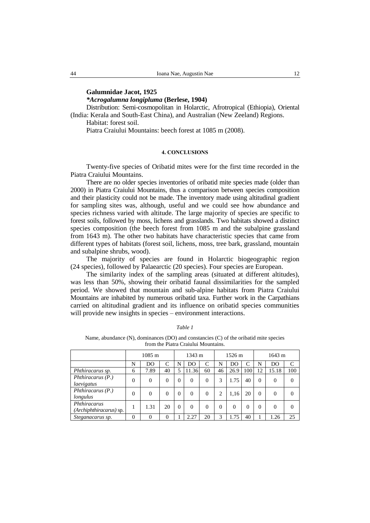# **Galumnidae Jacot, 1925**

*\*Acrogalumna longipluma* **(Berlese, 1904)**

Distribution: Semi-cosmopolitan in Holarctic, Afrotropical (Ethiopia), Oriental (India: Kerala and South-East China), and Australian (New Zeeland) Regions. Habitat: forest soil.

Piatra Craiului Mountains: beech forest at 1085 m (2008).

#### **4. CONCLUSIONS**

Twenty-five species of Oribatid mites were for the first time recorded in the Piatra Craiului Mountains.

There are no older species inventories of oribatid mite species made (older than 2000) in Piatra Craiului Mountains, thus a comparison between species composition and their plasticity could not be made. The inventory made using altitudinal gradient for sampling sites was, although, useful and we could see how abundance and species richness varied with altitude. The large majority of species are specific to forest soils, followed by moss, lichens and grasslands. Two habitats showed a distinct species composition (the beech forest from 1085 m and the subalpine grassland from 1643 m). The other two habitats have characteristic species that came from different types of habitats (forest soil, lichens, moss, tree bark, grassland, mountain and subalpine shrubs, wood).

The majority of species are found in Holarctic biogeographic region (24 species), followed by Palaearctic (20 species). Four species are European.

The similarity index of the sampling areas (situated at different altitudes), was less than 50%, showing their oribatid faunal dissimilarities for the sampled period. We showed that mountain and sub-alpine habitats from Piatra Craiului Mountains are inhabited by numerous oribatid taxa. Further work in the Carpathians carried on altitudinal gradient and its influence on oribatid species communities will provide new insights in species – environment interactions.

|--|

| Name, abundance $(N)$ , dominances $(DO)$ and constancies $(C)$ of the oribatid mite species |
|----------------------------------------------------------------------------------------------|
| from the Piatra Craiului Mountains.                                                          |

|                                         | $1085 \text{ m}$ |          |          | 1343 m   |          |          | 1526 m |          |     | 1643 m   |          |           |
|-----------------------------------------|------------------|----------|----------|----------|----------|----------|--------|----------|-----|----------|----------|-----------|
|                                         | N                | DO       | C        | N        | DO       |          | N      | DO       | C   | N        | DO       | $\subset$ |
| Phthiracarus sp.                        | 6                | 7.89     | 40       |          | 11.36    | 60       | 46     | 26.9     | 100 | 12       | 15.18    | 100       |
| Phthiracarus $(P.)$<br>laevigatus       |                  | $\theta$ | $\Omega$ | $\Omega$ | $\theta$ | $\Omega$ | 3      | .75      | 40  | $\Omega$ | $\Omega$ | 0         |
| Phthiracarus $(P.)$<br>longulus         |                  | $\Omega$ | $\Omega$ | $\theta$ | $\Omega$ | 0        | ∍      | 1,16     | 20  | $\Omega$ | $\Omega$ |           |
| Phthiracarus<br>(Archiphthiracarus) sp. |                  | 1.31     | 20       | $\theta$ | $\theta$ | 0        | 0      | $\Omega$ | 0   | $\Omega$ | $\Omega$ |           |
| Steganacarus sp.                        | $\theta$         | $\theta$ | $\Omega$ |          | 2.27     | 20       | 3      | .75      | 40  |          | 1.26     | 25        |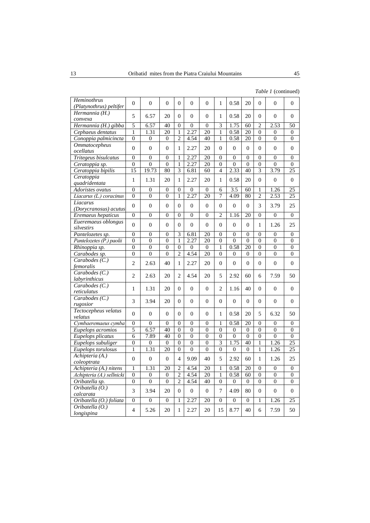| Heminothrus<br>(Platynothrus) peltifer | $\mathbf{0}$     | $\overline{0}$   | $\mathbf{0}$     | $\theta$         | $\mathbf{0}$     | $\mathbf{0}$     | $\mathbf{1}$     | 0.58             | 20               | $\mathbf{0}$     | $\mathbf{0}$     | $\mathbf{0}$     |
|----------------------------------------|------------------|------------------|------------------|------------------|------------------|------------------|------------------|------------------|------------------|------------------|------------------|------------------|
| Hermannia (H.)                         | 5                | 6.57             | 20               | $\theta$         | $\mathbf{0}$     | $\mathbf{0}$     | 1                | 0.58             | 20               | $\overline{0}$   | $\theta$         | $\mathbf{0}$     |
| convexa                                |                  |                  |                  |                  |                  |                  |                  |                  |                  |                  |                  |                  |
| Hermannia (H.) gibba                   | 5                | 6.57             | 40               | $\theta$         | $\overline{0}$   | $\theta$         | $\overline{3}$   | 1.75             | 60               | $\overline{c}$   | 2.53             | 50               |
| Cephaeus dentatus                      | 1                | 1.31             | 20               | $\mathbf{1}$     | 2.27             | $\overline{20}$  | $\mathbf{1}$     | 0.58             | 20               | $\overline{0}$   | $\overline{0}$   | $\overline{0}$   |
| Conoppia palmicincta                   | $\mathbf{0}$     | $\boldsymbol{0}$ | $\boldsymbol{0}$ | $\overline{c}$   | 4.54             | 40               | 1                | 0.58             | 20               | $\boldsymbol{0}$ | $\boldsymbol{0}$ | $\overline{0}$   |
| <b>Ommatocepheus</b><br>ocellatus      | $\overline{0}$   | $\mathbf{0}$     | $\mathbf{0}$     | 1                | 2.27             | 20               | $\Omega$         | $\overline{0}$   | $\overline{0}$   | $\theta$         | $\overline{0}$   | $\mathbf{0}$     |
| Tritegeus bisulcatus                   | $\boldsymbol{0}$ | $\boldsymbol{0}$ | $\boldsymbol{0}$ | $\mathbf{1}$     | 2.27             | 20               | $\theta$         | $\theta$         | $\overline{0}$   | $\theta$         | $\boldsymbol{0}$ | $\boldsymbol{0}$ |
| Ceratoppia sp.                         | $\overline{0}$   | $\overline{0}$   | $\overline{0}$   | $\mathbf{1}$     | 2.27             | 20               | $\overline{0}$   | $\overline{0}$   | $\overline{0}$   | $\overline{0}$   | $\overline{0}$   | $\overline{0}$   |
| Ceratoppia bipilis                     | 15               | 19.73            | 80               | 3                | 6.81             | 60               | $\overline{4}$   | 2.33             | 40               | $\overline{3}$   | 3.79             | $\overline{25}$  |
| Ceratoppia<br>quadridentata            | $\mathbf{1}$     | 1.31             | 20               | 1                | 2.27             | 20               | $\mathbf{1}$     | 0.58             | 20               | $\overline{0}$   | $\overline{0}$   | $\overline{0}$   |
| Adoristes ovatus                       | $\overline{0}$   | $\overline{0}$   | $\overline{0}$   | $\theta$         | $\overline{0}$   | $\theta$         | 6                | 3.5              | 60               | 1                | 1.26             | $\overline{25}$  |
| Liacarus (L.) coracinus                | $\overline{0}$   | $\mathbf{0}$     | $\overline{0}$   | 1                | 2.27             | $\overline{20}$  | 7                | 4.09             | 80               | $\overline{2}$   | 2.53             | 25               |
| Liacarus                               |                  |                  |                  |                  |                  |                  |                  |                  |                  |                  |                  |                  |
| (Dorycranosus) acutus                  | $\overline{0}$   | $\overline{0}$   | $\mathbf{0}$     | $\theta$         | $\mathbf{0}$     | $\Omega$         | $\Omega$         | $\overline{0}$   | $\overline{0}$   | 3                | 3.79             | 25               |
| Eremaeus hepaticus                     | $\boldsymbol{0}$ | $\overline{0}$   | $\overline{0}$   | $\overline{0}$   | $\overline{0}$   | $\overline{0}$   | $\overline{2}$   | 1.16             | 20               | $\overline{0}$   | $\overline{0}$   | $\overline{0}$   |
| Eueremaeus oblongus                    |                  |                  |                  |                  |                  |                  |                  |                  |                  |                  |                  |                  |
| silvestirs                             | $\mathbf{0}$     | $\overline{0}$   | $\mathbf{0}$     | $\theta$         | $\overline{0}$   | $\mathbf{0}$     | $\Omega$         | $\overline{0}$   | $\overline{0}$   | 1                | 1.26             | 25               |
| $\overline{P}$ antelozetes sp.         | $\overline{0}$   | $\overline{0}$   | $\overline{0}$   | 3                | 6.81             | 20               | $\theta$         | $\theta$         | $\theta$         | $\theta$         | $\overline{0}$   | $\overline{0}$   |
| Pantelozetes (P.) paolii               | $\overline{0}$   | $\overline{0}$   | $\overline{0}$   | $\mathbf{1}$     | 2.27             | $\overline{20}$  | $\overline{0}$   | $\overline{0}$   | $\overline{0}$   | $\overline{0}$   | $\overline{0}$   | $\overline{0}$   |
| Rhinoppia sp.                          | $\overline{0}$   | $\boldsymbol{0}$ | $\overline{0}$   | $\overline{0}$   | $\boldsymbol{0}$ | $\boldsymbol{0}$ | $\mathbf{1}$     | 0.58             | 20               | $\overline{0}$   | $\boldsymbol{0}$ | $\overline{0}$   |
| Carabodes sp.                          | $\overline{0}$   | $\theta$         | $\theta$         | $\overline{c}$   | 4.54             | 20               | $\theta$         | $\theta$         | $\theta$         | $\theta$         | $\theta$         | $\theta$         |
| $Carabodes$ (C.)                       | $\overline{2}$   | 2.63             | 40               | $\mathbf{1}$     | 2.27             | 20               | $\overline{0}$   | $\overline{0}$   | $\overline{0}$   | $\overline{0}$   | $\overline{0}$   | $\overline{0}$   |
| femoralis<br>Carabodes $(C.)$          |                  |                  |                  |                  |                  |                  |                  |                  |                  |                  |                  |                  |
| labyrinthicus                          | $\overline{2}$   | 2.63             | 20               | $\mathfrak{D}$   | 4.54             | 20               | 5                | 2.92             | 60               | 6                | 7.59             | 50               |
| Carabodes $(C.)$<br>reticulatus        | $\mathbf{1}$     | 1.31             | 20               | $\theta$         | $\mathbf{0}$     | $\mathbf{0}$     | $\overline{2}$   | 1.16             | 40               | $\theta$         | $\theta$         | $\overline{0}$   |
| Carabodes (C.)                         | 3                | 3.94             | 20               | $\theta$         | $\Omega$         | $\theta$         | $\Omega$         | $\overline{0}$   | $\theta$         | $\theta$         | $\overline{0}$   | $\overline{0}$   |
| rugosior                               |                  |                  |                  |                  |                  |                  |                  |                  |                  |                  |                  |                  |
| Tectocepheus velatus                   | $\mathbf{0}$     | $\overline{0}$   | $\mathbf{0}$     | $\theta$         | $\mathbf{0}$     | $\mathbf{0}$     | 1                | 0.58             | 20               | 5                | 6.32             | 50               |
| velatus                                |                  |                  |                  |                  |                  |                  |                  |                  |                  |                  |                  |                  |
| Cymbaeremaeus cymba                    | $\mathbf{0}$     | $\theta$         | $\overline{0}$   | $\overline{0}$   | $\overline{0}$   | $\overline{0}$   | 1                | 0.58             | 20               | $\overline{0}$   | $\mathbf{0}$     | $\theta$         |
| Eupelops acromios                      | 5                | 6.57             | 40               | $\overline{0}$   | $\overline{0}$   | $\mathbf{0}$     | $\theta$         | $\overline{0}$   | $\overline{0}$   | $\overline{0}$   | $\theta$         | $\overline{0}$   |
| Eupelops plicatus                      | 6                | 7.89             | 40               | $\boldsymbol{0}$ | $\boldsymbol{0}$ | $\boldsymbol{0}$ | $\boldsymbol{0}$ | $\boldsymbol{0}$ | $\boldsymbol{0}$ | $\boldsymbol{0}$ | $\boldsymbol{0}$ | $\boldsymbol{0}$ |
| Eupelops subuliger                     | $\overline{0}$   | $\overline{0}$   | $\overline{0}$   | $\overline{0}$   | $\overline{0}$   | $\overline{0}$   | 3                | 1.75             | 40               | $\mathbf{1}$     | 1.26             | 25               |
| Eupelops torulosus                     | $\mathbf{1}$     | 1.31             | 20               | $\overline{0}$   | $\overline{0}$   | $\overline{0}$   | $\theta$         | $\overline{0}$   | $\overline{0}$   | $\mathbf{1}$     | 1.26             | 25               |
| Achipteria (A.)<br>coleoptrata         | $\mathbf{0}$     | $\mathbf{0}$     | $\mathbf{0}$     | 4                | 9.09             | 40               | 5                | 2.92             | 60               | 1                | 1.26             | 25               |
| Achipteria (A.) nitens                 | $\mathbf{1}$     | 1.31             | 20               | $\overline{c}$   | 4.54             | 20               | 1                | 0.58             | 20               | $\mathbf{0}$     | $\boldsymbol{0}$ | $\boldsymbol{0}$ |
| Achipteria (A.) sellnicki              | $\overline{0}$   | $\boldsymbol{0}$ | $\overline{0}$   | $\overline{c}$   | 4.54             | 20               | $\mathbf{1}$     | 0.58             | 60               | $\overline{0}$   | $\overline{0}$   | $\overline{0}$   |
| Oribatella sp.                         | $\overline{0}$   | $\overline{0}$   | $\mathbf{0}$     | $\overline{2}$   | 4.54             | 40               | $\overline{0}$   | $\overline{0}$   | $\overline{0}$   | $\boldsymbol{0}$ | $\mathbf{0}$     | $\overline{0}$   |
| Oribatella (O.)<br>calcarata           | 3                | 3.94             | 20               | $\theta$         | $\overline{0}$   | $\mathbf{0}$     | $\overline{7}$   | 4.09             | 80               | $\mathbf{0}$     | $\overline{0}$   | $\overline{0}$   |
| Oribatella (O.) foliata                | $\mathbf{0}$     | $\boldsymbol{0}$ | $\theta$         | 1                | 2.27             | 20               | $\theta$         | $\theta$         | $\theta$         | 1                | 1.26             | 25               |
| Oribatella (O.)                        |                  |                  |                  |                  |                  |                  |                  |                  |                  |                  |                  |                  |
| longispina                             | $\overline{4}$   | 5.26             | 20               | 1                | 2.27             | 20               | 15               | 8.77             | 40               | 6                | 7.59             | 50               |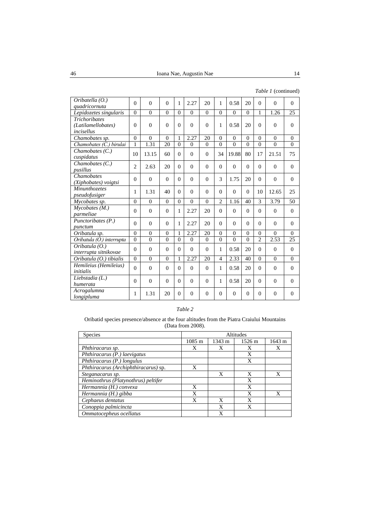|  | Table 1 (continued) |
|--|---------------------|
|--|---------------------|

| Oribatella $(0.)$<br>quadricornuta                       | $\Omega$       | $\theta$       | $\Omega$ | 1        | 2.27     | 20             | 1              | 0.58     | 20           | $\Omega$       | $\Omega$ | $\Omega$ |
|----------------------------------------------------------|----------------|----------------|----------|----------|----------|----------------|----------------|----------|--------------|----------------|----------|----------|
| Lepidozetes singularis                                   | $\overline{0}$ | $\overline{0}$ | $\theta$ | $\Omega$ | $\theta$ | $\theta$       | $\theta$       | $\theta$ | $\theta$     | 1              | 1.26     | 25       |
| <b>Trichoribates</b><br>(Latilamellobates)<br>incisellus | $\theta$       | $\theta$       | $\theta$ | $\theta$ | $\Omega$ | $\theta$       | 1              | 0.58     | 20           | $\Omega$       | $\theta$ | $\theta$ |
| Chamobates sp.                                           | $\Omega$       | $\theta$       | $\Omega$ | 1        | 2.27     | 20             | $\theta$       | $\Omega$ | $\Omega$     | $\Omega$       | $\theta$ | $\theta$ |
| Chamobates (C.) birulai                                  | $\mathbf{1}$   | 1.31           | 20       | $\theta$ | $\theta$ | $\Omega$       | $\Omega$       | $\Omega$ | $\Omega$     | $\theta$       | $\theta$ | $\theta$ |
| Chamobates $(C.)$<br>cuspidatus                          | 10             | 13.15          | 60       | $\Omega$ | $\theta$ | $\Omega$       | 34             | 19.88    | 80           | 17             | 21.51    | 75       |
| Chamobates $(C.)$<br>pusillus                            | $\overline{2}$ | 2.63           | 20       | $\theta$ | $\Omega$ | $\Omega$       | $\Omega$       | $\Omega$ | $\Omega$     | $\Omega$       | $\Omega$ | $\Omega$ |
| Chamobates<br>(Xiphobates) voigtsi                       | $\Omega$       | $\theta$       | $\Omega$ | $\Omega$ | $\theta$ | $\Omega$       | 3              | 1.75     | 20           | $\Omega$       | $\theta$ | $\theta$ |
| <b>Minunthozetes</b><br>pseudofusiger                    | 1              | 1.31           | 40       | $\Omega$ | $\Omega$ | $\Omega$       | $\Omega$       | $\Omega$ | $\Omega$     | 10             | 12.65    | 25       |
| Mycobates sp.                                            | $\Omega$       | $\theta$       | $\Omega$ | $\Omega$ | $\theta$ | $\theta$       | $\mathfrak{D}$ | 1.16     | 40           | 3              | 3.79     | 50       |
| $M$ ycobates $(M.)$<br>parmeliae                         | $\Omega$       | $\theta$       | $\theta$ | 1        | 2.27     | 20             | $\theta$       | $\Omega$ | $\Omega$     | $\Omega$       | $\theta$ | $\Omega$ |
| Punctoribates (P.)<br>punctum                            | $\Omega$       | $\theta$       | $\Omega$ | 1        | 2.27     | 20             | $\Omega$       | $\Omega$ | $\Omega$     | $\Omega$       | $\Omega$ | $\Omega$ |
| Oribatula sp.                                            | $\Omega$       | $\Omega$       | $\theta$ | 1        | 2.27     | 20             | $\Omega$       | $\Omega$ | $\Omega$     | $\Omega$       | $\Omega$ | $\Omega$ |
| Oribatula (O.) interrupta                                | $\theta$       | $\theta$       | $\theta$ | $\theta$ | $\Omega$ | $\Omega$       | $\theta$       | $\Omega$ | $\theta$     | $\overline{2}$ | 2.53     | 25       |
| Oribatula (O.)<br>interrupta sitnikovae                  | $\Omega$       | $\theta$       | $\theta$ | $\Omega$ | $\Omega$ | $\Omega$       | 1              | 0.58     | 20           | $\Omega$       | $\theta$ | $\Omega$ |
| Oribatula (O.) tibialis                                  | $\Omega$       | $\theta$       | $\theta$ | 1        | 2.27     | 20             | 4              | 2.33     | 40           | $\Omega$       | $\Omega$ | $\Omega$ |
| Hemileius (Hemileius)<br><i>initialis</i>                | $\Omega$       | $\theta$       | $\Omega$ | $\Omega$ | $\Omega$ | $\Omega$       | 1              | 0.58     | 20           | $\Omega$       | $\Omega$ | $\Omega$ |
| Liebstadia (L.)<br>humerata                              | $\Omega$       | $\theta$       | $\theta$ | $\theta$ | $\Omega$ | $\Omega$       | $\mathbf{1}$   | 0.58     | 20           | $\Omega$       | $\theta$ | $\Omega$ |
| Acrogalumna<br>longipluma                                | 1              | 1.31           | 20       | $\theta$ | $\Omega$ | $\overline{0}$ | $\Omega$       | $\Omega$ | $\mathbf{0}$ | $\Omega$       | $\Omega$ | $\theta$ |

# *Table 2*

## Oribatid species presence/absence at the four altitudes from the Piatra Craiului Mountains (Data from 2008).

| <b>Species</b>                       | Altitudes        |        |        |        |  |  |  |
|--------------------------------------|------------------|--------|--------|--------|--|--|--|
|                                      | $1085 \text{ m}$ | 1343 m | 1526 m | 1643 m |  |  |  |
| Phthiracarus sp.                     | X                | X      | X      | X      |  |  |  |
| Phthiracarus (P.) laevigatus         |                  |        | X      |        |  |  |  |
| Phthiracarus (P.) longulus           |                  |        | X      |        |  |  |  |
| Phthiracarus (Archiphthiracarus) sp. | X                |        |        |        |  |  |  |
| Steganacarus sp.                     |                  | X      | X      | X      |  |  |  |
| Heminothrus (Platynothrus) peltifer  |                  |        | X      |        |  |  |  |
| Hermannia (H.) convexa               | X                |        | X      |        |  |  |  |
| Hermannia (H.) gibba                 | X                |        | X      | X      |  |  |  |
| Cephaeus dentatus                    | X                | X      | X      |        |  |  |  |
| Conoppia palmicincta                 |                  | X      | X      |        |  |  |  |
| Ommatocepheus ocellatus              |                  | X      |        |        |  |  |  |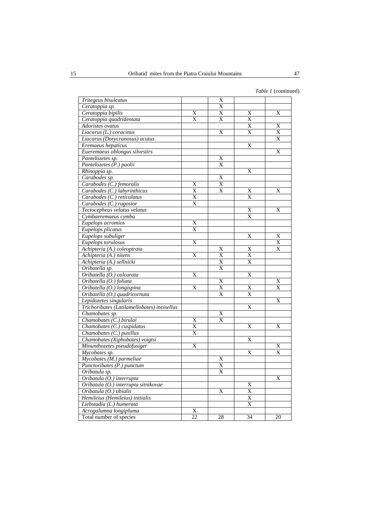| Tritegeus bisulcatus                        |                 | X                     |    |    |
|---------------------------------------------|-----------------|-----------------------|----|----|
| Ceratoppia sp.                              |                 | $\overline{\text{X}}$ |    |    |
| Ceratoppia bipilis                          | Χ               | X                     | Χ  | X  |
| Ceratoppia quadridentata                    | $\overline{X}$  | $\overline{X}$        | X  |    |
| Adoristes ovatus                            |                 |                       | X  | X  |
| Liacarus (L.) coracinus                     |                 | X                     | X  | X  |
| Liacarus (Dorycranosus) acutus              |                 |                       |    | X  |
| Eremaeus hepaticus                          |                 |                       | X  |    |
| Eueremaeus oblongus silvestirs              |                 |                       |    | X  |
| Pantelozetes sp.                            |                 | X                     |    |    |
| Pantelozetes (P.) paolii                    |                 | X                     |    |    |
| Rhinoppia sp.                               |                 |                       | X  |    |
| Carabodes sp.                               |                 | X                     |    |    |
| Carabodes (C.) femoralis                    | X               | $\overline{X}$        |    |    |
| Carabodes (C.) labyrinthicus                | X               | X                     | X  | X  |
| Carabodes (C.) reticulatus                  | X               |                       | X  |    |
| Carabodes (C.) rugosior                     | X               |                       |    |    |
| Tectocepheus velatus velatus                |                 |                       | X  | X  |
| Cymbaeremaeus cymba                         |                 |                       | X  |    |
| Eupelops acromios                           | X               |                       |    |    |
| Eupelops plicatus                           | X               |                       |    |    |
| Eupelops subuliger                          |                 |                       | X  | X  |
| Eupelops torulosus                          | X               |                       |    | X  |
| Achipteria (A.) coleoptrata                 |                 | X                     | X  | X  |
| Achipteria (A.) nitens                      | X               | $\overline{\text{X}}$ | X  |    |
| Achipteria (A.) sellnicki                   |                 | $\overline{\text{X}}$ | X  |    |
| Oribatella sp.                              |                 | X                     |    |    |
| Oribatella (O.) calcarata                   | X               |                       | X  |    |
| Oribatella (O.) foliata                     |                 | $\overline{\text{X}}$ |    | X  |
| Oribatella (O.) longispina                  | X               | X                     | X  | X  |
| Oribatella (O.) quadricornuta               |                 | X                     | X  |    |
| Lepidozetes singularis                      |                 |                       |    | X  |
| Trichoribates (Latilamellobates) incisellus |                 |                       | X  |    |
| Chamobates sp.                              |                 | X                     |    |    |
| Chamobates (C.) birulai                     | X               | X                     |    |    |
| Chamobates (C.) cuspidatus                  | X               |                       | X  | X  |
| Chamobates (C.) pusillus                    | X               |                       |    |    |
| Chamobates (Xiphobates) voigtsi             |                 |                       | X  |    |
| Minunthozetes pseudofusiger                 | X               |                       |    | X  |
| Mycobates sp.                               |                 |                       | X  | X  |
| Mycobates (M.) parmeliae                    |                 | X                     |    |    |
| Punctoribates (P.) punctum                  |                 | X                     |    |    |
| Oribatula sp.                               |                 | X                     |    |    |
| Oribatula (O.) interrupta                   |                 |                       |    | X  |
| Oribatula (O.) interrupta sitnikovae        |                 |                       | X  |    |
| Oribatula (O.) tibialis                     |                 | X                     | X  |    |
| Hemileius (Hemileius) initialis             |                 |                       | X  |    |
| Liebstadia (L.) humerata                    |                 |                       | X  |    |
| Acrogalumna longipluma                      | Х               |                       |    |    |
| Total number of species                     | $\overline{22}$ | 28                    | 34 | 20 |
|                                             |                 |                       |    |    |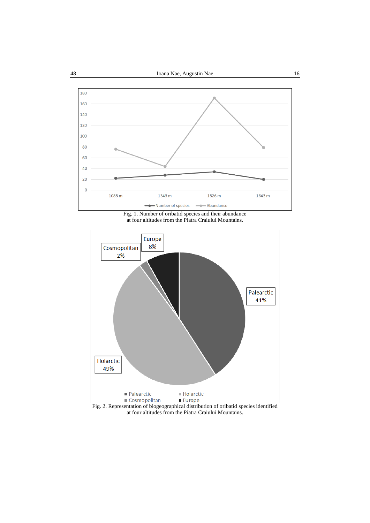

Fig. 1. Number of oribatid species and their abundance at four altitudes from the Piatra Craiului Mountains.



Fig. 2. Representation of biogeographical distribution of oribatid species identified at four altitudes from the Piatra Craiului Mountains.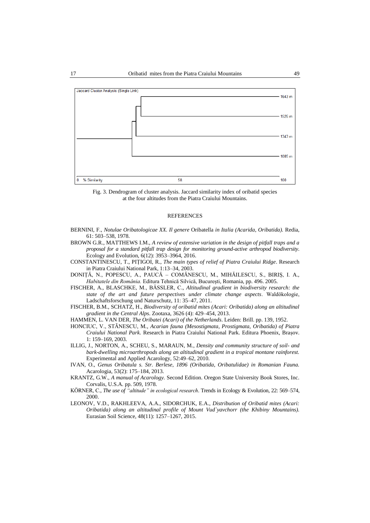

Fig. 3. Dendrogram of cluster analysis. Jaccard similarity index of oribatid species at the four altitudes from the Piatra Craiului Mountains.

#### **REFERENCES**

- BERNINI, F., *Notulae Oribatologicae XX. Il genere* Oribatella *in Italia (Acarida*, *Oribatida).* Redia, 61: 503–538, 1978.
- BROWN G.R., MATTHEWS I.M., *A review of extensive variation in the design of pitfall traps and a proposal for a standard pitfall trap design for monitoring ground-active arthropod biodiversity*. Ecology and Evolution, 6(12): 3953–3964, 2016.
- CONSTANTINESCU, T., PIȚIGOI, R., *The main types of relief of Piatra Craiului Ridge*. Research in Piatra Craiului National Park, 1:13–34, 2003.
- DONIȚĂ, N., POPESCU, A., PAUCĂ COMĂNESCU, M., MIHĂILESCU, S., BIRIȘ, I. A., *Habitatele din România.* Editura Tehnică Silvică, București, Romania, pp. 496. 2005.
- FISCHER, A., BLASCHKE, M., BÄSSLER, C., *Altitudinal gradient in biodiversity research: the state of the art and future perspectives under climate change aspects*. Waldӧkologie, Ladschaftsforschung und Naturschutz, 11: 35–47, 2011.
- FISCHER, B.M., SCHATZ, H., *Biodiversity of oribatid mites (Acari: Oribatida) along an altitudinal gradient in the Central Alps*. Zootaxa, 3626 (4): 429–454, 2013.
- HAMMEN, L. VAN DER, *The Oribatei (Acari) of the Netherlands*. Leiden: Brill. pp. 139, 1952.
- HONCIUC, V., STÃNESCU, M*.*, *Acarian fauna (Mesostigmata*, *Prostigmata*, *Oribatida) of Piatra Craiului National Park*. Research in Piatra Craiului National Park. Editura Phoenix, Brașov. 1: 159–169, 2003.
- ILLIG, J., NORTON, A., SCHEU, S., MARAUN, M*.*, *Density and community structure of soil- and bark-dwelling microarthropods along an altitudinal gradient in a tropical montane rainforest.*  Experimental and Applied Acarology, 52:49–62, 2010.
- IVAN, O., *Genus Oribatula s. Str. Berlese*, *1896 (Oribatida*, *Oribatulidae) in Romanian Fauna.*  Acarologia, 53(2): 175–184, 2013.
- KRANTZ, G.W., *A manual of Acarology.* Second Edition. Oregon State University Book Stores, Inc. Corvalis, U.S.A. pp. 509, 1978.
- KӦRNER, C., *The use of "altitude" in ecological research*. Trends in Ecology & Evolution, 22: 569–574, 2000.
- LEONOV, V.D., RAKHLEEVA, A.A., SIDORCHUK, E.A., *Distribution of Oribatid mites (Acari: Oribatida) along an altitudinal profile of Mount Vud`yavchorr (the Khibiny Mountains).*  Eurasian Soil Science, 48(11): 1257–1267, 2015.